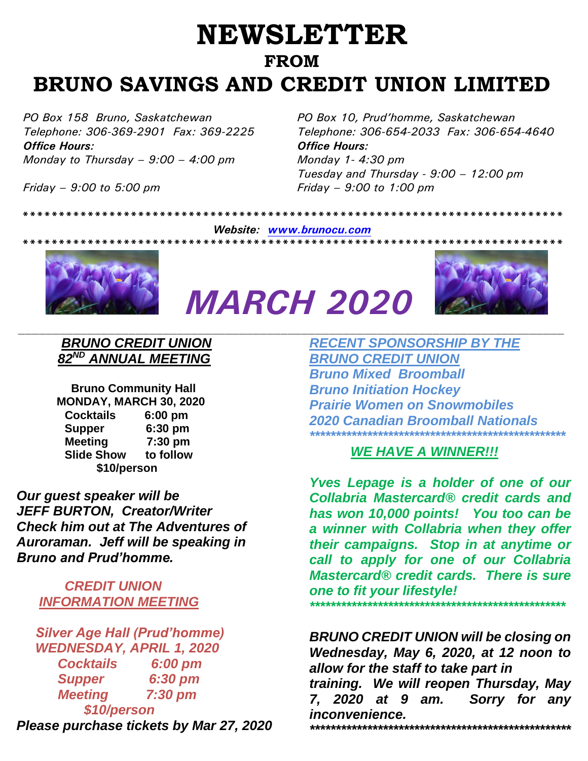# **NEWSLETTER FROM BRUNO SAVINGS AND CREDIT UNION LIMITED**

*Office Hours: Office Hours: Monday to Thursday – 9:00 – 4:00 pm Monday 1- 4:30 pm*

*PO Box 158 Bruno, Saskatchewan PO Box 10, Prud'homme, Saskatchewan Telephone: 306-369-2901 Fax: 369-2225 Telephone: 306-654-2033 Fax: 306-654-4640 Tuesday and Thursday - 9:00 – 12:00 pm Friday – 9:00 to 5:00 pm Friday – 9:00 to 1:00 pm*

> *Website: [www.brunocu.com](http://www.brunocu.com/) \*\*\*\*\*\*\*\*\*\*\*\*\*\*\*\*\*\*\*\*\*\*\*\*\*\*\*\*\*\*\*\*\*\*\*\*\*\*\*\*\*\*\*\*\*\*\*\*\*\*\*\*\*\*\*\*\*\*\*\*\*\*\*\*\*\*\*\*\*\*\*\*\*\*\**

*\*\*\*\*\*\*\*\*\*\*\*\*\*\*\*\*\*\*\*\*\*\*\*\*\*\*\*\*\*\*\*\*\*\*\*\*\*\*\*\*\*\*\*\*\*\*\*\*\*\*\*\*\*\*\*\*\*\*\*\*\*\*\*\*\*\*\*\*\*\*\*\*\*\*\**



# *MARCH 2020*



## *BRUNO CREDIT UNION 82ND ANNUAL MEETING*

 **Bruno Community Hall MONDAY, MARCH 30, 2020 Cocktails 6:00 pm Supper 6:30 pm Meeting 7:30 pm Slide Show to follow \$10/person**

*Our guest speaker will be JEFF BURTON, Creator/Writer Check him out at The Adventures of Auroraman. Jeff will be speaking in Bruno and Prud'homme.*

 *CREDIT UNION INFORMATION MEETING* 

 *Silver Age Hall (Prud'homme) WEDNESDAY, APRIL 1, 2020 Cocktails 6:00 pm Supper 6:30 pm Meeting 7:30 pm \$10/person*

*Please purchase tickets by Mar 27, 2020*

*RECENT SPONSORSHIP BY THE BRUNO CREDIT UNION Bruno Mixed Broomball Bruno Initiation Hockey Prairie Women on Snowmobiles 2020 Canadian Broomball Nationals \*\*\*\*\*\*\*\*\*\*\*\*\*\*\*\*\*\*\*\*\*\*\*\*\*\*\*\*\*\*\*\*\*\*\*\*\*\*\*\*\*\*\*\*\*\*\*\*\**

# *WE HAVE A WINNER!!!*

*Yves Lepage is a holder of one of our Collabria Mastercard® credit cards and has won 10,000 points! You too can be a winner with Collabria when they offer their campaigns. Stop in at anytime or call to apply for one of our Collabria Mastercard® credit cards. There is sure one to fit your lifestyle! \*\*\*\*\*\*\*\*\*\*\*\*\*\*\*\*\*\*\*\*\*\*\*\*\*\*\*\*\*\*\*\*\*\*\*\*\*\*\*\*\*\*\*\*\*\*\*\*\**

*BRUNO CREDIT UNION will be closing on Wednesday, May 6, 2020, at 12 noon to allow for the staff to take part in training. We will reopen Thursday, May 7, 2020 at 9 am. Sorry for any inconvenience. \*\*\*\*\*\*\*\*\*\*\*\*\*\*\*\*\*\*\*\*\*\*\*\*\*\*\*\*\*\*\*\*\*\*\*\*\*\*\*\*\*\*\*\*\*\*\*\*\*\**